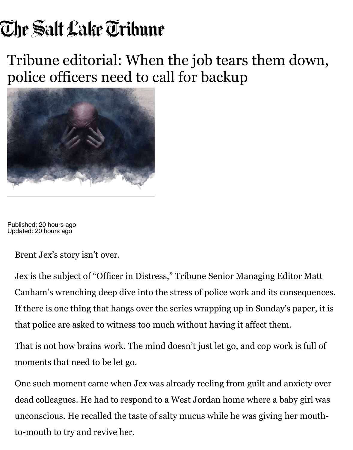## Tribune editorial: When the job tears them down, [police officers need to ca](https://www.sltrib.com/)ll for backup



Published: 20 hours ago Updated: 20 hours ago

Brent Jex's story isn't over.

Jex is the subject of "Officer in Distress," Tribune Senior Managing Editor Canham's wrenching deep dive into the stress of police work and its consequences. If there is one thing that hangs over the series wrapping up in Sunday's pa that police are asked to witness too much without having it affect them.

That is not how bra[ins work. The mind do](https://local.sltrib.com/officer-in-distress/officer-in-distress.html)esn't just let go, and cop work is moments that need to be let go.

One such moment came when Jex was already reeling from guilt and anxiety dead colleagues. He had to respond to a West Jordan home where a baby unconscious. He recalled the taste of salty mucus while he was giving her to-mouth to try and revive her.